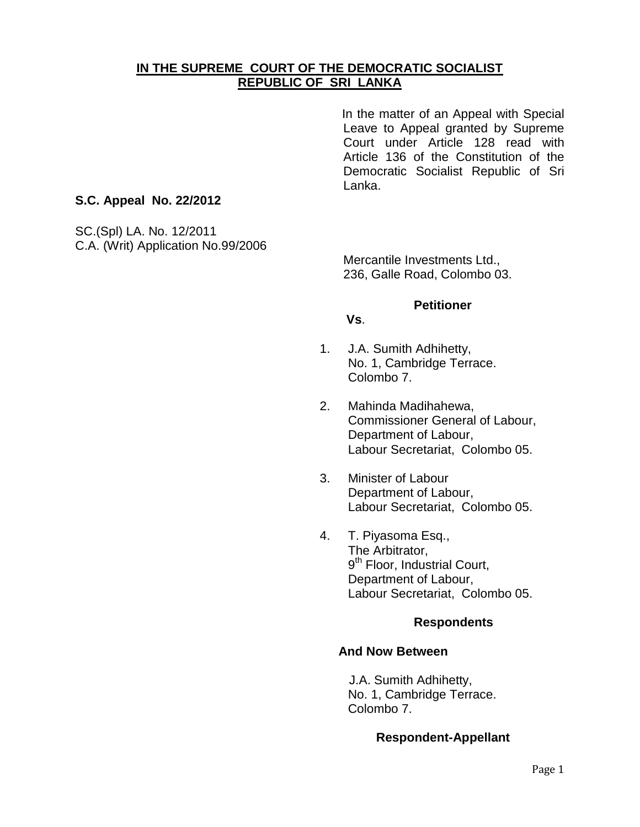# **IN THE SUPREME COURT OF THE DEMOCRATIC SOCIALIST REPUBLIC OF SRI LANKA**

In the matter of an Appeal with Special Leave to Appeal granted by Supreme Court under Article 128 read with Article 136 of the Constitution of the Democratic Socialist Republic of Sri Lanka.

## **S.C. Appeal No. 22/2012**

SC.(Spl) LA. No. 12/2011 C.A. (Writ) Application No.99/2006

> Mercantile Investments Ltd., 236, Galle Road, Colombo 03.

### **Petitioner**

#### **Vs**.

- 1. J.A. Sumith Adhihetty, No. 1, Cambridge Terrace. Colombo 7.
- 2. Mahinda Madihahewa, Commissioner General of Labour, Department of Labour, Labour Secretariat, Colombo 05.
- 3. Minister of Labour Department of Labour, Labour Secretariat, Colombo 05.
- 4. T. Piyasoma Esq., The Arbitrator, 9<sup>th</sup> Floor, Industrial Court, Department of Labour, Labour Secretariat, Colombo 05.

### **Respondents**

### **And Now Between**

J.A. Sumith Adhihetty, No. 1, Cambridge Terrace. Colombo 7.

### **Respondent-Appellant**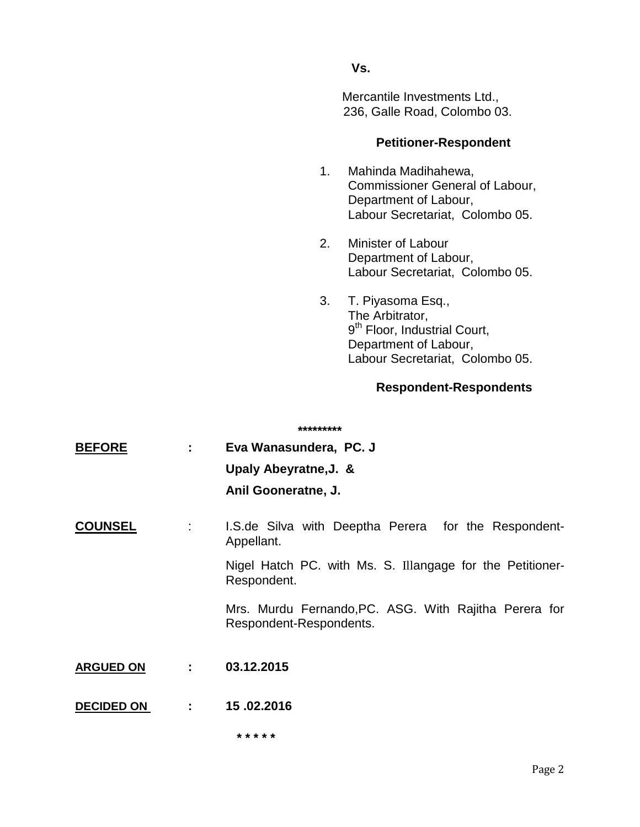## **Vs.**

Mercantile Investments Ltd., 236, Galle Road, Colombo 03.

### **Petitioner-Respondent**

- 1. Mahinda Madihahewa, Commissioner General of Labour, Department of Labour, Labour Secretariat, Colombo 05.
- 2. Minister of Labour Department of Labour, Labour Secretariat, Colombo 05.
- 3. T. Piyasoma Esq., The Arbitrator, 9<sup>th</sup> Floor, Industrial Court, Department of Labour, Labour Secretariat, Colombo 05.

## **Respondent-Respondents**

|                   |                               | *********                                                                        |
|-------------------|-------------------------------|----------------------------------------------------------------------------------|
| <b>BEFORE</b>     | $\mathbf{1}$ and $\mathbf{1}$ | Eva Wanasundera, PC. J                                                           |
|                   |                               | Upaly Abeyratne, J. &                                                            |
|                   |                               | Anil Gooneratne, J.                                                              |
| <b>COUNSEL</b>    | ÷                             | I.S.de Silva with Deeptha Perera for the Respondent-<br>Appellant.               |
|                   |                               | Nigel Hatch PC. with Ms. S. Illangage for the Petitioner-<br>Respondent.         |
|                   |                               | Mrs. Murdu Fernando, PC. ASG. With Rajitha Perera for<br>Respondent-Respondents. |
| <b>ARGUED ON</b>  | 2.11                          | 03.12.2015                                                                       |
| <b>DECIDED ON</b> | 2.500                         | 15.02.2016                                                                       |
|                   |                               | * * * * *                                                                        |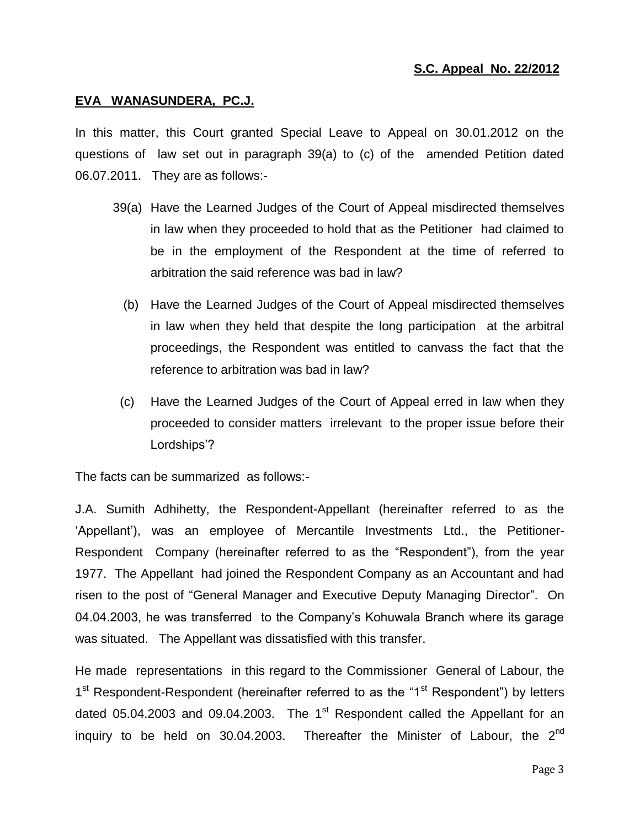## **S.C. Appeal No. 22/2012**

#### **EVA WANASUNDERA, PC.J.**

In this matter, this Court granted Special Leave to Appeal on 30.01.2012 on the questions of law set out in paragraph 39(a) to (c) of the amended Petition dated 06.07.2011. They are as follows:-

- 39(a) Have the Learned Judges of the Court of Appeal misdirected themselves in law when they proceeded to hold that as the Petitioner had claimed to be in the employment of the Respondent at the time of referred to arbitration the said reference was bad in law?
	- (b) Have the Learned Judges of the Court of Appeal misdirected themselves in law when they held that despite the long participation at the arbitral proceedings, the Respondent was entitled to canvass the fact that the reference to arbitration was bad in law?
- (c) Have the Learned Judges of the Court of Appeal erred in law when they proceeded to consider matters irrelevant to the proper issue before their Lordships'?

The facts can be summarized as follows:-

J.A. Sumith Adhihetty, the Respondent-Appellant (hereinafter referred to as the 'Appellant'), was an employee of Mercantile Investments Ltd., the Petitioner-Respondent Company (hereinafter referred to as the "Respondent"), from the year 1977. The Appellant had joined the Respondent Company as an Accountant and had risen to the post of "General Manager and Executive Deputy Managing Director". On 04.04.2003, he was transferred to the Company"s Kohuwala Branch where its garage was situated. The Appellant was dissatisfied with this transfer.

He made representations in this regard to the Commissioner General of Labour, the 1<sup>st</sup> Respondent-Respondent (hereinafter referred to as the "1<sup>st</sup> Respondent") by letters dated 05.04.2003 and 09.04.2003. The 1<sup>st</sup> Respondent called the Appellant for an inquiry to be held on 30.04.2003. Thereafter the Minister of Labour, the  $2<sup>nd</sup>$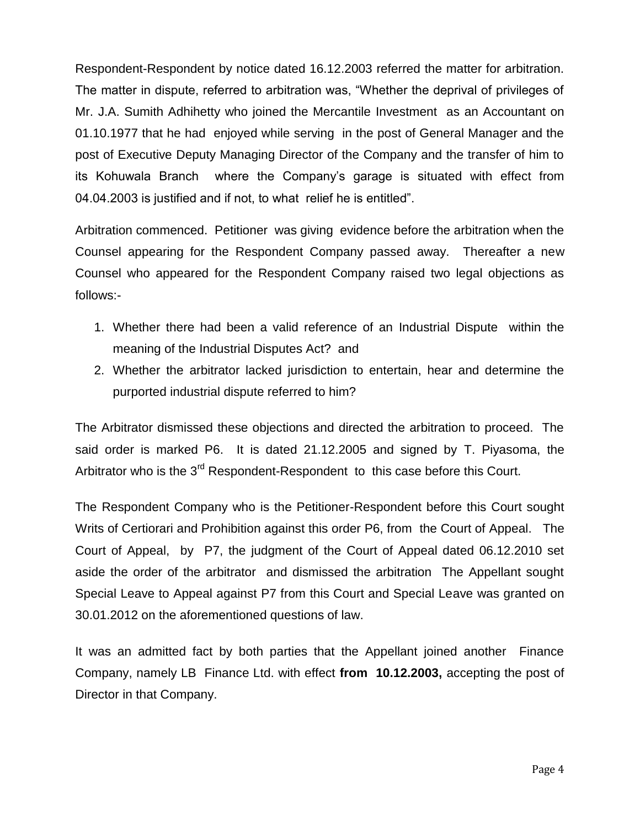Respondent-Respondent by notice dated 16.12.2003 referred the matter for arbitration. The matter in dispute, referred to arbitration was, "Whether the deprival of privileges of Mr. J.A. Sumith Adhihetty who joined the Mercantile Investment as an Accountant on 01.10.1977 that he had enjoyed while serving in the post of General Manager and the post of Executive Deputy Managing Director of the Company and the transfer of him to its Kohuwala Branch where the Company"s garage is situated with effect from 04.04.2003 is justified and if not, to what relief he is entitled".

Arbitration commenced. Petitioner was giving evidence before the arbitration when the Counsel appearing for the Respondent Company passed away. Thereafter a new Counsel who appeared for the Respondent Company raised two legal objections as follows:-

- 1. Whether there had been a valid reference of an Industrial Dispute within the meaning of the Industrial Disputes Act? and
- 2. Whether the arbitrator lacked jurisdiction to entertain, hear and determine the purported industrial dispute referred to him?

The Arbitrator dismissed these objections and directed the arbitration to proceed. The said order is marked P6. It is dated 21.12.2005 and signed by T. Piyasoma, the Arbitrator who is the 3<sup>rd</sup> Respondent-Respondent to this case before this Court.

The Respondent Company who is the Petitioner-Respondent before this Court sought Writs of Certiorari and Prohibition against this order P6, from the Court of Appeal. The Court of Appeal, by P7, the judgment of the Court of Appeal dated 06.12.2010 set aside the order of the arbitrator and dismissed the arbitration The Appellant sought Special Leave to Appeal against P7 from this Court and Special Leave was granted on 30.01.2012 on the aforementioned questions of law.

It was an admitted fact by both parties that the Appellant joined another Finance Company, namely LB Finance Ltd. with effect **from 10.12.2003,** accepting the post of Director in that Company.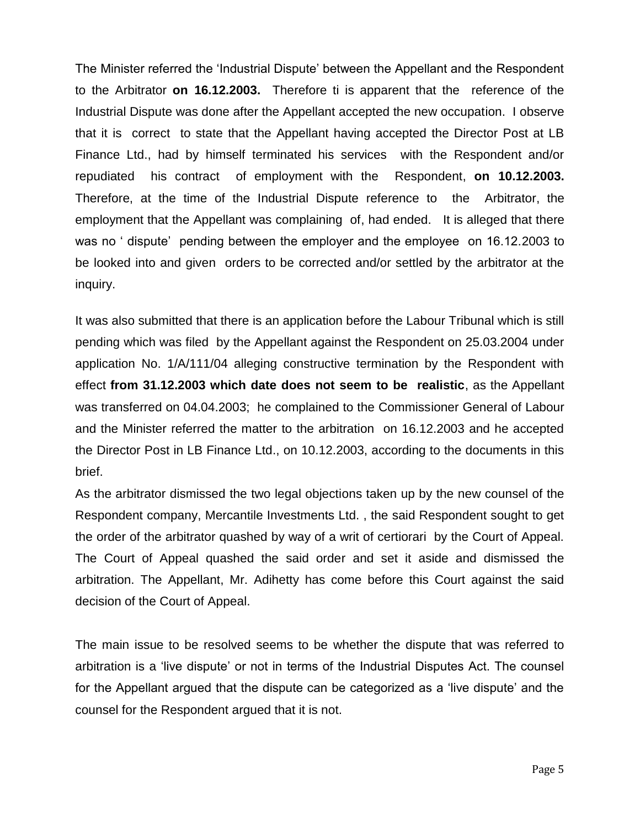The Minister referred the "Industrial Dispute" between the Appellant and the Respondent to the Arbitrator **on 16.12.2003.** Therefore ti is apparent that the reference of the Industrial Dispute was done after the Appellant accepted the new occupation. I observe that it is correct to state that the Appellant having accepted the Director Post at LB Finance Ltd., had by himself terminated his services with the Respondent and/or repudiated his contract of employment with the Respondent, **on 10.12.2003.** Therefore, at the time of the Industrial Dispute reference to the Arbitrator, the employment that the Appellant was complaining of, had ended. It is alleged that there was no ' dispute' pending between the employer and the employee on 16.12.2003 to be looked into and given orders to be corrected and/or settled by the arbitrator at the inquiry.

It was also submitted that there is an application before the Labour Tribunal which is still pending which was filed by the Appellant against the Respondent on 25.03.2004 under application No. 1/A/111/04 alleging constructive termination by the Respondent with effect **from 31.12.2003 which date does not seem to be realistic**, as the Appellant was transferred on 04.04.2003; he complained to the Commissioner General of Labour and the Minister referred the matter to the arbitration on 16.12.2003 and he accepted the Director Post in LB Finance Ltd., on 10.12.2003, according to the documents in this brief.

As the arbitrator dismissed the two legal objections taken up by the new counsel of the Respondent company, Mercantile Investments Ltd. , the said Respondent sought to get the order of the arbitrator quashed by way of a writ of certiorari by the Court of Appeal. The Court of Appeal quashed the said order and set it aside and dismissed the arbitration. The Appellant, Mr. Adihetty has come before this Court against the said decision of the Court of Appeal.

The main issue to be resolved seems to be whether the dispute that was referred to arbitration is a "live dispute" or not in terms of the Industrial Disputes Act. The counsel for the Appellant argued that the dispute can be categorized as a "live dispute" and the counsel for the Respondent argued that it is not.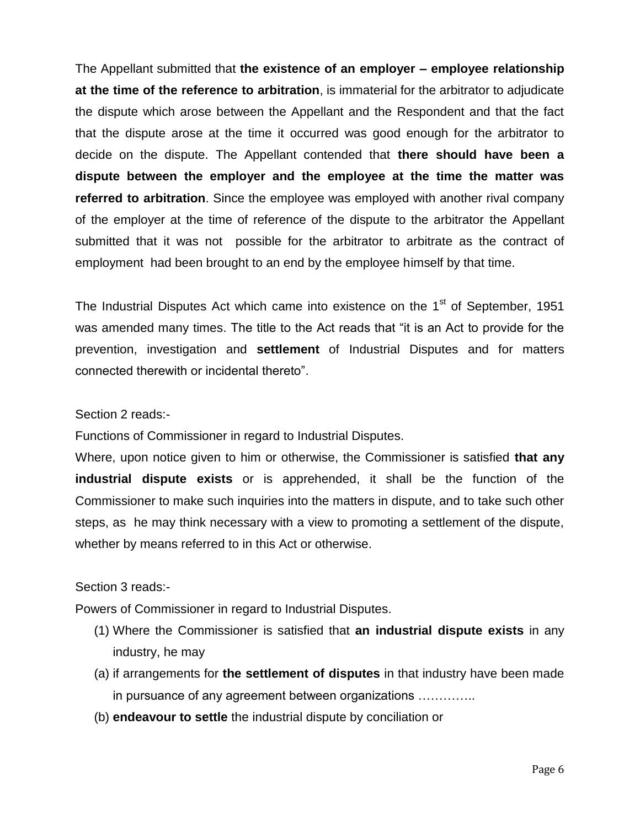The Appellant submitted that **the existence of an employer – employee relationship at the time of the reference to arbitration**, is immaterial for the arbitrator to adjudicate the dispute which arose between the Appellant and the Respondent and that the fact that the dispute arose at the time it occurred was good enough for the arbitrator to decide on the dispute. The Appellant contended that **there should have been a dispute between the employer and the employee at the time the matter was referred to arbitration**. Since the employee was employed with another rival company of the employer at the time of reference of the dispute to the arbitrator the Appellant submitted that it was not possible for the arbitrator to arbitrate as the contract of employment had been brought to an end by the employee himself by that time.

The Industrial Disputes Act which came into existence on the  $1<sup>st</sup>$  of September, 1951 was amended many times. The title to the Act reads that "it is an Act to provide for the prevention, investigation and **settlement** of Industrial Disputes and for matters connected therewith or incidental thereto".

### Section 2 reads:-

Functions of Commissioner in regard to Industrial Disputes.

Where, upon notice given to him or otherwise, the Commissioner is satisfied **that any industrial dispute exists** or is apprehended, it shall be the function of the Commissioner to make such inquiries into the matters in dispute, and to take such other steps, as he may think necessary with a view to promoting a settlement of the dispute, whether by means referred to in this Act or otherwise.

### Section 3 reads:-

Powers of Commissioner in regard to Industrial Disputes.

- (1) Where the Commissioner is satisfied that **an industrial dispute exists** in any industry, he may
- (a) if arrangements for **the settlement of disputes** in that industry have been made in pursuance of any agreement between organizations …………..
- (b) **endeavour to settle** the industrial dispute by conciliation or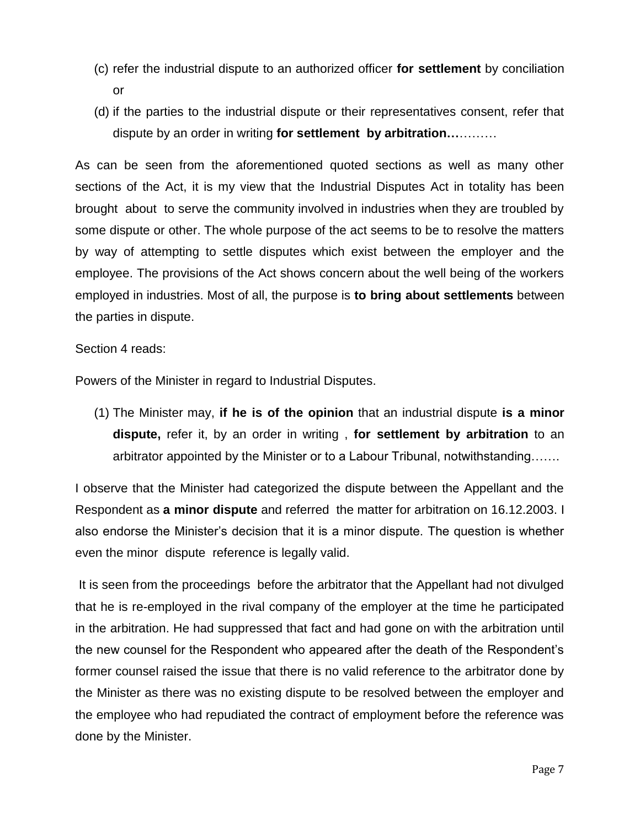- (c) refer the industrial dispute to an authorized officer **for settlement** by conciliation or
- (d) if the parties to the industrial dispute or their representatives consent, refer that dispute by an order in writing **for settlement by arbitration…**………

As can be seen from the aforementioned quoted sections as well as many other sections of the Act, it is my view that the Industrial Disputes Act in totality has been brought about to serve the community involved in industries when they are troubled by some dispute or other. The whole purpose of the act seems to be to resolve the matters by way of attempting to settle disputes which exist between the employer and the employee. The provisions of the Act shows concern about the well being of the workers employed in industries. Most of all, the purpose is **to bring about settlements** between the parties in dispute.

Section 4 reads:

Powers of the Minister in regard to Industrial Disputes.

(1) The Minister may, **if he is of the opinion** that an industrial dispute **is a minor dispute,** refer it, by an order in writing , **for settlement by arbitration** to an arbitrator appointed by the Minister or to a Labour Tribunal, notwithstanding…….

I observe that the Minister had categorized the dispute between the Appellant and the Respondent as **a minor dispute** and referred the matter for arbitration on 16.12.2003. I also endorse the Minister"s decision that it is a minor dispute. The question is whether even the minor dispute reference is legally valid.

It is seen from the proceedings before the arbitrator that the Appellant had not divulged that he is re-employed in the rival company of the employer at the time he participated in the arbitration. He had suppressed that fact and had gone on with the arbitration until the new counsel for the Respondent who appeared after the death of the Respondent"s former counsel raised the issue that there is no valid reference to the arbitrator done by the Minister as there was no existing dispute to be resolved between the employer and the employee who had repudiated the contract of employment before the reference was done by the Minister.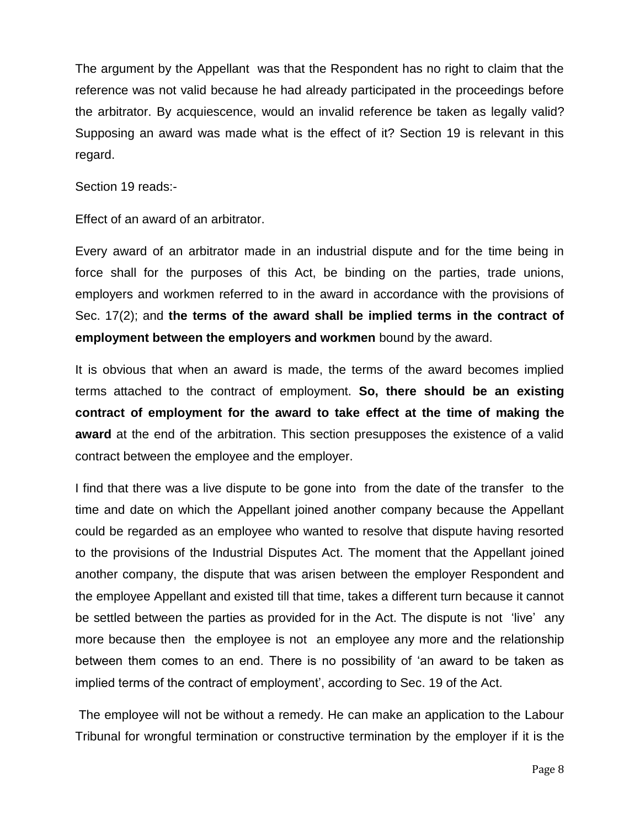The argument by the Appellant was that the Respondent has no right to claim that the reference was not valid because he had already participated in the proceedings before the arbitrator. By acquiescence, would an invalid reference be taken as legally valid? Supposing an award was made what is the effect of it? Section 19 is relevant in this regard.

Section 19 reads:-

Effect of an award of an arbitrator.

Every award of an arbitrator made in an industrial dispute and for the time being in force shall for the purposes of this Act, be binding on the parties, trade unions, employers and workmen referred to in the award in accordance with the provisions of Sec. 17(2); and **the terms of the award shall be implied terms in the contract of employment between the employers and workmen** bound by the award.

It is obvious that when an award is made, the terms of the award becomes implied terms attached to the contract of employment. **So, there should be an existing contract of employment for the award to take effect at the time of making the award** at the end of the arbitration. This section presupposes the existence of a valid contract between the employee and the employer.

I find that there was a live dispute to be gone into from the date of the transfer to the time and date on which the Appellant joined another company because the Appellant could be regarded as an employee who wanted to resolve that dispute having resorted to the provisions of the Industrial Disputes Act. The moment that the Appellant joined another company, the dispute that was arisen between the employer Respondent and the employee Appellant and existed till that time, takes a different turn because it cannot be settled between the parties as provided for in the Act. The dispute is not "live" any more because then the employee is not an employee any more and the relationship between them comes to an end. There is no possibility of "an award to be taken as implied terms of the contract of employment', according to Sec. 19 of the Act.

The employee will not be without a remedy. He can make an application to the Labour Tribunal for wrongful termination or constructive termination by the employer if it is the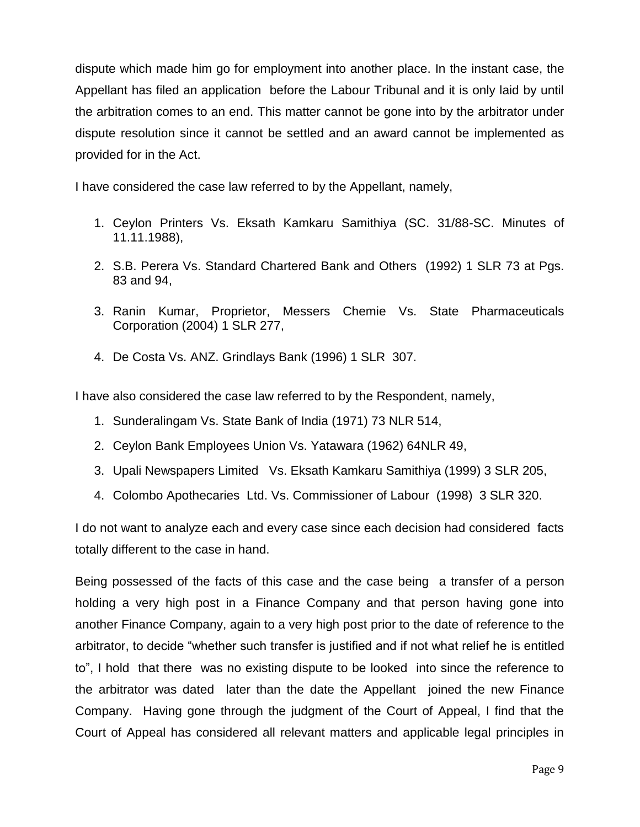dispute which made him go for employment into another place. In the instant case, the Appellant has filed an application before the Labour Tribunal and it is only laid by until the arbitration comes to an end. This matter cannot be gone into by the arbitrator under dispute resolution since it cannot be settled and an award cannot be implemented as provided for in the Act.

I have considered the case law referred to by the Appellant, namely,

- 1. Ceylon Printers Vs. Eksath Kamkaru Samithiya (SC. 31/88-SC. Minutes of 11.11.1988),
- 2. S.B. Perera Vs. Standard Chartered Bank and Others (1992) 1 SLR 73 at Pgs. 83 and 94,
- 3. Ranin Kumar, Proprietor, Messers Chemie Vs. State Pharmaceuticals Corporation (2004) 1 SLR 277,
- 4. De Costa Vs. ANZ. Grindlays Bank (1996) 1 SLR 307.

I have also considered the case law referred to by the Respondent, namely,

- 1. Sunderalingam Vs. State Bank of India (1971) 73 NLR 514,
- 2. Ceylon Bank Employees Union Vs. Yatawara (1962) 64NLR 49,
- 3. Upali Newspapers Limited Vs. Eksath Kamkaru Samithiya (1999) 3 SLR 205,
- 4. Colombo Apothecaries Ltd. Vs. Commissioner of Labour (1998) 3 SLR 320.

I do not want to analyze each and every case since each decision had considered facts totally different to the case in hand.

Being possessed of the facts of this case and the case being a transfer of a person holding a very high post in a Finance Company and that person having gone into another Finance Company, again to a very high post prior to the date of reference to the arbitrator, to decide "whether such transfer is justified and if not what relief he is entitled to", I hold that there was no existing dispute to be looked into since the reference to the arbitrator was dated later than the date the Appellant joined the new Finance Company. Having gone through the judgment of the Court of Appeal, I find that the Court of Appeal has considered all relevant matters and applicable legal principles in